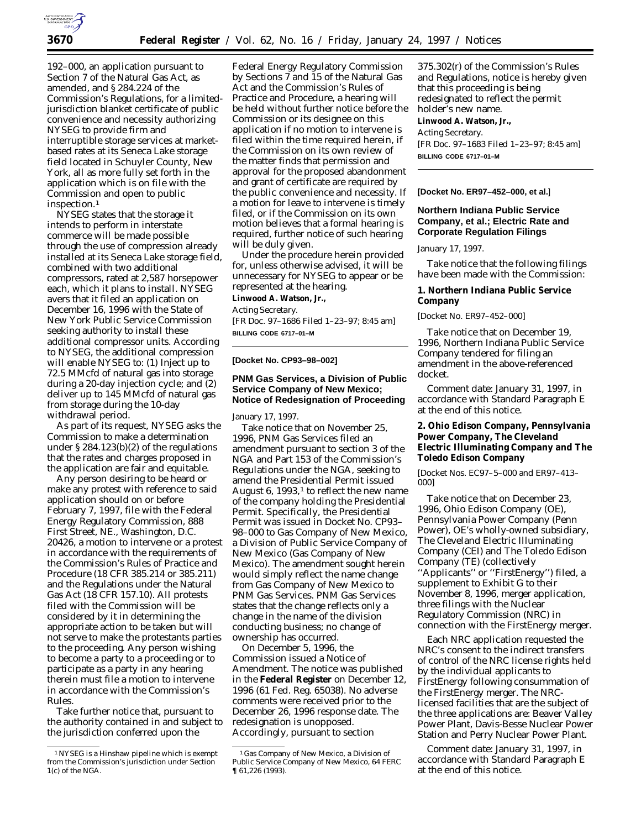

192–000, an application pursuant to Section 7 of the Natural Gas Act, as amended, and § 284.224 of the Commission's Regulations, for a limitedjurisdiction blanket certificate of public convenience and necessity authorizing NYSEG to provide firm and interruptible storage services at marketbased rates at its Seneca Lake storage field located in Schuyler County, New York, all as more fully set forth in the application which is on file with the Commission and open to public inspection.1

NYSEG states that the storage it intends to perform in interstate commerce will be made possible through the use of compression already installed at its Seneca Lake storage field, combined with two additional compressors, rated at 2,587 horsepower each, which it plans to install. NYSEG avers that it filed an application on December 16, 1996 with the State of New York Public Service Commission seeking authority to install these additional compressor units. According to NYSEG, the additional compression will enable NYSEG to: (1) Inject up to 72.5 MMcfd of natural gas into storage during a 20-day injection cycle; and (2) deliver up to 145 MMcfd of natural gas from storage during the 10-day withdrawal period.

As part of its request, NYSEG asks the Commission to make a determination under § 284.123(b)(2) of the regulations that the rates and charges proposed in the application are fair and equitable.

Any person desiring to be heard or make any protest with reference to said application should on or before February 7, 1997, file with the Federal Energy Regulatory Commission, 888 First Street, NE., Washington, D.C. 20426, a motion to intervene or a protest in accordance with the requirements of the Commission's Rules of Practice and Procedure (18 CFR 385.214 or 385.211) and the Regulations under the Natural Gas Act (18 CFR 157.10). All protests filed with the Commission will be considered by it in determining the appropriate action to be taken but will not serve to make the protestants parties to the proceeding. Any person wishing to become a party to a proceeding or to participate as a party in any hearing therein must file a motion to intervene in accordance with the Commission's Rules.

Take further notice that, pursuant to the authority contained in and subject to the jurisdiction conferred upon the

Federal Energy Regulatory Commission by Sections 7 and 15 of the Natural Gas Act and the Commission's Rules of Practice and Procedure, a hearing will be held without further notice before the Commission or its designee on this application if no motion to intervene is filed within the time required herein, if the Commission on its own review of the matter finds that permission and approval for the proposed abandonment and grant of certificate are required by the public convenience and necessity. If a motion for leave to intervene is timely filed, or if the Commission on its own motion believes that a formal hearing is required, further notice of such hearing will be duly given.

Under the procedure herein provided for, unless otherwise advised, it will be unnecessary for NYSEG to appear or be represented at the hearing.

**Linwood A. Watson, Jr.,**

*Acting Secretary.*

[FR Doc. 97–1686 Filed 1–23–97; 8:45 am] **BILLING CODE 6717–01–M**

### **[Docket No. CP93–98–002]**

# **PNM Gas Services, a Division of Public Service Company of New Mexico; Notice of Redesignation of Proceeding**

January 17, 1997.

Take notice that on November 25, 1996, PNM Gas Services filed an amendment pursuant to section 3 of the NGA and Part 153 of the Commission's Regulations under the NGA, seeking to amend the Presidential Permit issued August 6,  $1993$ ,<sup>1</sup> to reflect the new name of the company holding the Presidential Permit. Specifically, the Presidential Permit was issued in Docket No. CP93– 98–000 to Gas Company of New Mexico, a Division of Public Service Company of New Mexico (Gas Company of New Mexico). The amendment sought herein would simply reflect the name change from Gas Company of New Mexico to PNM Gas Services. PNM Gas Services states that the change reflects only a change in the name of the division conducting business; no change of ownership has occurred.

On December 5, 1996, the Commission issued a Notice of Amendment. The notice was published in the **Federal Register** on December 12, 1996 (61 *Fed. Reg.* 65038). No adverse comments were received prior to the December 26, 1996 response date. The redesignation is unopposed. Accordingly, pursuant to section

375.302(r) of the Commission's Rules and Regulations, notice is hereby given that this proceeding is being redesignated to reflect the permit holder's new name. **Linwood A. Watson, Jr.,** *Acting Secretary.* [FR Doc. 97–1683 Filed 1–23–97; 8:45 am] **BILLING CODE 6717–01–M**

**[Docket No. ER97–452–000, et al.**]

## **Northern Indiana Public Service Company, et al.; Electric Rate and Corporate Regulation Filings**

January 17, 1997.

Take notice that the following filings have been made with the Commission:

**1. Northern Indiana Public Service Company**

[Docket No. ER97–452–000]

Take notice that on December 19, 1996, Northern Indiana Public Service Company tendered for filing an amendment in the above-referenced docket.

*Comment date:* January 31, 1997, in accordance with Standard Paragraph E at the end of this notice.

**2. Ohio Edison Company, Pennsylvania Power Company, The Cleveland Electric Illuminating Company and The Toledo Edison Company**

[Docket Nos. EC97–5–000 and ER97–413– 000]

Take notice that on December 23, 1996, Ohio Edison Company (OE), Pennsylvania Power Company (Penn Power), OE's wholly-owned subsidiary, The Cleveland Electric Illuminating Company (CEI) and The Toledo Edison Company (TE) (collectively ''Applicants'' or ''FirstEnergy'') filed, a supplement to Exhibit G to their November 8, 1996, merger application, three filings with the Nuclear Regulatory Commission (NRC) in connection with the FirstEnergy merger.

Each NRC application requested the NRC's consent to the indirect transfers of control of the NRC license rights held by the individual applicants to FirstEnergy following consummation of the FirstEnergy merger. The NRClicensed facilities that are the subject of the three applications are: Beaver Valley Power Plant, Davis-Besse Nuclear Power Station and Perry Nuclear Power Plant.

*Comment date:* January 31, 1997, in accordance with Standard Paragraph E at the end of this notice.

<sup>1</sup>NYSEG is a Hinshaw pipeline which is exempt from the Commission's jurisdiction under Section 1(c) of the NGA.

<sup>1</sup> Gas Company of New Mexico, a Division of Public Service Company of New Mexico, 64 FERC ¶ 61,226 (1993).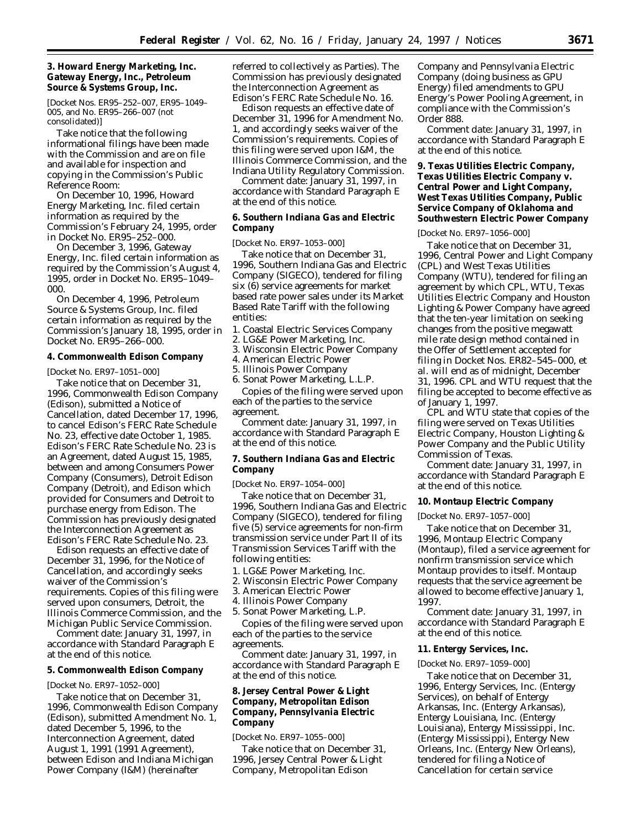**3. Howard Energy Marketing, Inc. Gateway Energy, Inc., Petroleum Source & Systems Group, Inc.**

[Docket Nos. ER95–252–007, ER95–1049– 005, and No. ER95–266–007 (not consolidated)]

Take notice that the following informational filings have been made with the Commission and are on file and available for inspection and copying in the Commission's Public Reference Room:

On December 10, 1996, Howard Energy Marketing, Inc. filed certain information as required by the Commission's February 24, 1995, order in Docket No. ER95–252–000.

On December 3, 1996, Gateway Energy, Inc. filed certain information as required by the Commission's August 4, 1995, order in Docket No. ER95–1049– 000.

On December 4, 1996, Petroleum Source & Systems Group, Inc. filed certain information as required by the Commission's January 18, 1995, order in Docket No. ER95–266–000.

**4. Commonwealth Edison Company**

[Docket No. ER97–1051–000]

Take notice that on December 31, 1996, Commonwealth Edison Company (Edison), submitted a Notice of Cancellation, dated December 17, 1996, to cancel Edison's FERC Rate Schedule No. 23, effective date October 1, 1985. Edison's FERC Rate Schedule No. 23 is an Agreement, dated August 15, 1985, between and among Consumers Power Company (Consumers), Detroit Edison Company (Detroit), and Edison which provided for Consumers and Detroit to purchase energy from Edison. The Commission has previously designated the Interconnection Agreement as Edison's FERC Rate Schedule No. 23.

Edison requests an effective date of December 31, 1996, for the Notice of Cancellation, and accordingly seeks waiver of the Commission's requirements. Copies of this filing were served upon consumers, Detroit, the Illinois Commerce Commission, and the Michigan Public Service Commission.

*Comment date:* January 31, 1997, in accordance with Standard Paragraph E at the end of this notice.

**5. Commonwealth Edison Company**

[Docket No. ER97–1052–000]

Take notice that on December 31, 1996, Commonwealth Edison Company (Edison), submitted Amendment No. 1, dated December 5, 1996, to the Interconnection Agreement, dated August 1, 1991 (1991 Agreement), between Edison and Indiana Michigan Power Company (I&M) (hereinafter

referred to collectively as Parties). The Commission has previously designated the Interconnection Agreement as Edison's FERC Rate Schedule No. 16.

Edison requests an effective date of December 31, 1996 for Amendment No. 1, and accordingly seeks waiver of the Commission's requirements. Copies of this filing were served upon I&M, the Illinois Commerce Commission, and the Indiana Utility Regulatory Commission.

*Comment date:* January 31, 1997, in accordance with Standard Paragraph E at the end of this notice.

**6. Southern Indiana Gas and Electric Company**

[Docket No. ER97–1053–000]

Take notice that on December 31, 1996, Southern Indiana Gas and Electric Company (SIGECO), tendered for filing six (6) service agreements for market based rate power sales under its Market Based Rate Tariff with the following entities:

- 1. Coastal Electric Services Company
- 2. LG&E Power Marketing, Inc.
- 3. Wisconsin Electric Power Company

4. American Electric Power

5. Illinois Power Company 6. Sonat Power Marketing, L.L.P.

Copies of the filing were served upon each of the parties to the service agreement.

*Comment date:* January 31, 1997, in accordance with Standard Paragraph E at the end of this notice.

**7. Southern Indiana Gas and Electric Company**

[Docket No. ER97–1054–000]

Take notice that on December 31, 1996, Southern Indiana Gas and Electric Company (SIGECO), tendered for filing five (5) service agreements for non-firm transmission service under Part II of its Transmission Services Tariff with the following entities:

1. LG&E Power Marketing, Inc.

2. Wisconsin Electric Power Company

3. American Electric Power

4. Illinois Power Company

5. Sonat Power Marketing, L.P.

Copies of the filing were served upon each of the parties to the service agreements.

*Comment date:* January 31, 1997, in accordance with Standard Paragraph E at the end of this notice.

**8. Jersey Central Power & Light Company, Metropolitan Edison Company, Pennsylvania Electric Company**

### [Docket No. ER97–1055–000]

Take notice that on December 31, 1996, Jersey Central Power & Light Company, Metropolitan Edison

Company and Pennsylvania Electric Company (doing business as GPU Energy) filed amendments to GPU Energy's Power Pooling Agreement, in compliance with the Commission's Order 888.

*Comment date:* January 31, 1997, in accordance with Standard Paragraph E at the end of this notice.

**9. Texas Utilities Electric Company, Texas Utilities Electric Company v. Central Power and Light Company, West Texas Utilities Company, Public Service Company of Oklahoma and Southwestern Electric Power Company**

[Docket No. ER97–1056–000]

Take notice that on December 31, 1996, Central Power and Light Company (CPL) and West Texas Utilities Company (WTU), tendered for filing an agreement by which CPL, WTU, Texas Utilities Electric Company and Houston Lighting & Power Company have agreed that the ten-year limitation on seeking changes from the positive megawatt mile rate design method contained in the Offer of Settlement accepted for filing in Docket Nos. ER82–545–000, *et al.* will end as of midnight, December 31, 1996. CPL and WTU request that the filing be accepted to become effective as of January 1, 1997.

CPL and WTU state that copies of the filing were served on Texas Utilities Electric Company, Houston Lighting & Power Company and the Public Utility Commission of Texas.

*Comment date:* January 31, 1997, in accordance with Standard Paragraph E at the end of this notice.

**10. Montaup Electric Company**

[Docket No. ER97–1057–000]

Take notice that on December 31, 1996, Montaup Electric Company (Montaup), filed a service agreement for nonfirm transmission service which Montaup provides to itself. Montaup requests that the service agreement be allowed to become effective January 1, 1997.

*Comment date:* January 31, 1997, in accordance with Standard Paragraph E at the end of this notice.

# **11. Entergy Services, Inc.**

[Docket No. ER97–1059–000]

Take notice that on December 31, 1996, Entergy Services, Inc. (Entergy Services), on behalf of Entergy Arkansas, Inc. (Entergy Arkansas), Entergy Louisiana, Inc. (Entergy Louisiana), Entergy Mississippi, Inc. (Entergy Mississippi), Entergy New Orleans, Inc. (Entergy New Orleans), tendered for filing a Notice of Cancellation for certain service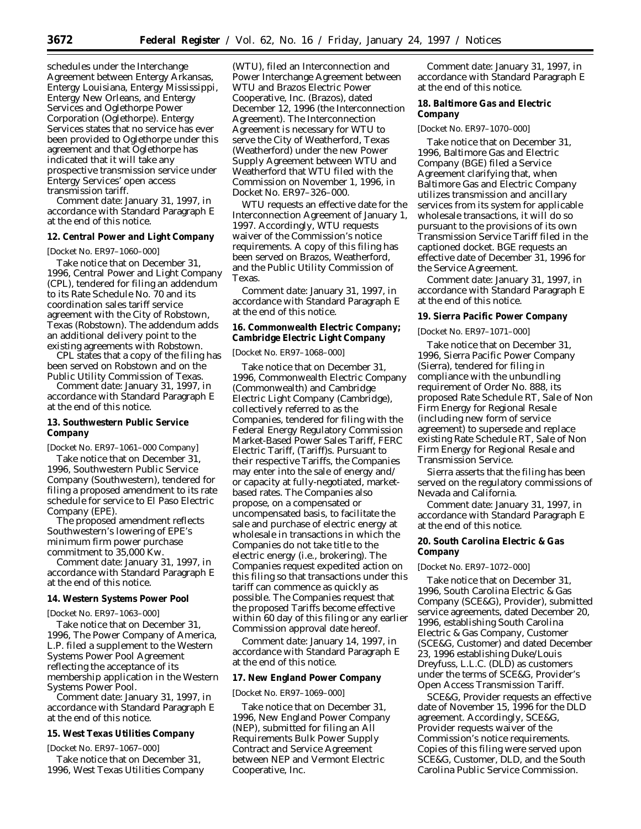schedules under the Interchange Agreement between Entergy Arkansas, Entergy Louisiana, Entergy Mississippi, Entergy New Orleans, and Entergy Services and Oglethorpe Power Corporation (Oglethorpe). Entergy Services states that no service has ever been provided to Oglethorpe under this agreement and that Oglethorpe has indicated that it will take any prospective transmission service under Entergy Services' open access transmission tariff.

*Comment date:* January 31, 1997, in accordance with Standard Paragraph E at the end of this notice.

**12. Central Power and Light Company**

[Docket No. ER97–1060–000]

Take notice that on December 31, 1996, Central Power and Light Company (CPL), tendered for filing an addendum to its Rate Schedule No. 70 and its coordination sales tariff service agreement with the City of Robstown, Texas (Robstown). The addendum adds an additional delivery point to the existing agreements with Robstown.

CPL states that a copy of the filing has been served on Robstown and on the Public Utility Commission of Texas.

*Comment date:* January 31, 1997, in accordance with Standard Paragraph E at the end of this notice.

**13. Southwestern Public Service Company**

[Docket No. ER97–1061–000 Company]

Take notice that on December 31, 1996, Southwestern Public Service Company (Southwestern), tendered for filing a proposed amendment to its rate schedule for service to El Paso Electric Company (EPE).

The proposed amendment reflects Southwestern's lowering of EPE's minimum firm power purchase commitment to 35,000 Kw.

*Comment date:* January 31, 1997, in accordance with Standard Paragraph E at the end of this notice.

## **14. Western Systems Power Pool**

[Docket No. ER97–1063–000]

Take notice that on December 31, 1996, The Power Company of America, L.P. filed a supplement to the Western Systems Power Pool Agreement reflecting the acceptance of its membership application in the Western Systems Power Pool.

*Comment date:* January 31, 1997, in accordance with Standard Paragraph E at the end of this notice.

**15. West Texas Utilities Company**

[Docket No. ER97–1067–000]

Take notice that on December 31, 1996, West Texas Utilities Company (WTU), filed an Interconnection and Power Interchange Agreement between WTU and Brazos Electric Power Cooperative, Inc. (Brazos), dated December 12, 1996 (the Interconnection Agreement). The Interconnection Agreement is necessary for WTU to serve the City of Weatherford, Texas (Weatherford) under the new Power Supply Agreement between WTU and Weatherford that WTU filed with the Commission on November 1, 1996, in Docket No. ER97–326–000.

WTU requests an effective date for the Interconnection Agreement of January 1, 1997. Accordingly, WTU requests waiver of the Commission's notice requirements. A copy of this filing has been served on Brazos, Weatherford, and the Public Utility Commission of Texas.

*Comment date:* January 31, 1997, in accordance with Standard Paragraph E at the end of this notice.

**16. Commonwealth Electric Company; Cambridge Electric Light Company**

### [Docket No. ER97–1068–000]

Take notice that on December 31, 1996, Commonwealth Electric Company (Commonwealth) and Cambridge Electric Light Company (Cambridge), collectively referred to as the Companies, tendered for filing with the Federal Energy Regulatory Commission Market-Based Power Sales Tariff, FERC Electric Tariff, (Tariff)s. Pursuant to their respective Tariffs, the Companies may enter into the sale of energy and/ or capacity at fully-negotiated, marketbased rates. The Companies also propose, on a compensated or uncompensated basis, to facilitate the sale and purchase of electric energy at wholesale in transactions in which the Companies do not take title to the electric energy (i.e., brokering). The Companies request expedited action on this filing so that transactions under this tariff can commence as quickly as possible. The Companies request that the proposed Tariffs become effective within 60 day of this filing or any earlier Commission approval date hereof.

*Comment date:* January 14, 1997, in accordance with Standard Paragraph E at the end of this notice.

## **17. New England Power Company**

#### [Docket No. ER97–1069–000]

Take notice that on December 31, 1996, New England Power Company (NEP), submitted for filing an All Requirements Bulk Power Supply Contract and Service Agreement between NEP and Vermont Electric Cooperative, Inc.

*Comment date:* January 31, 1997, in accordance with Standard Paragraph E at the end of this notice.

**18. Baltimore Gas and Electric Company**

[Docket No. ER97–1070–000]

Take notice that on December 31, 1996, Baltimore Gas and Electric Company (BGE) filed a Service Agreement clarifying that, when Baltimore Gas and Electric Company utilizes transmission and ancillary services from its system for applicable wholesale transactions, it will do so pursuant to the provisions of its own Transmission Service Tariff filed in the captioned docket. BGE requests an effective date of December 31, 1996 for the Service Agreement.

*Comment date:* January 31, 1997, in accordance with Standard Paragraph E at the end of this notice.

**19. Sierra Pacific Power Company**

## [Docket No. ER97–1071–000]

Take notice that on December 31, 1996, Sierra Pacific Power Company (Sierra), tendered for filing in compliance with the unbundling requirement of Order No. 888, its proposed Rate Schedule RT, Sale of Non Firm Energy for Regional Resale (including new form of service agreement) to supersede and replace existing Rate Schedule RT, Sale of Non Firm Energy for Regional Resale and Transmission Service.

Sierra asserts that the filing has been served on the regulatory commissions of Nevada and California.

*Comment date:* January 31, 1997, in accordance with Standard Paragraph E at the end of this notice.

## **20. South Carolina Electric & Gas Company**

### [Docket No. ER97–1072–000]

Take notice that on December 31, 1996, South Carolina Electric & Gas Company (SCE&G), Provider), submitted service agreements, dated December 20, 1996, establishing South Carolina Electric & Gas Company, Customer (SCE&G, Customer) and dated December 23, 1996 establishing Duke/Louis Dreyfuss, L.L.C. (DLD) as customers under the terms of SCE&G, Provider's Open Access Transmission Tariff.

SCE&G, Provider requests an effective date of November 15, 1996 for the DLD agreement. Accordingly, SCE&G, Provider requests waiver of the Commission's notice requirements. Copies of this filing were served upon SCE&G, Customer, DLD, and the South Carolina Public Service Commission.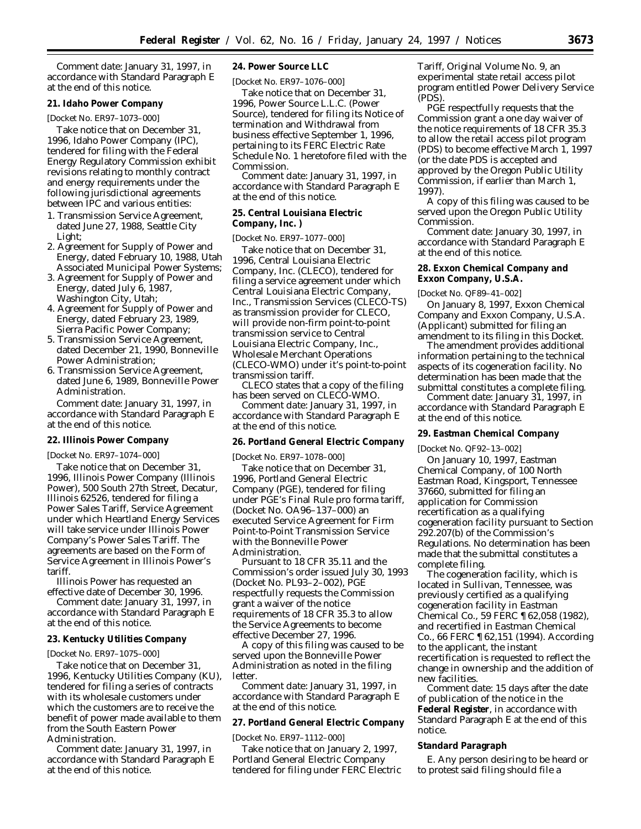*Comment date:* January 31, 1997, in accordance with Standard Paragraph E at the end of this notice.

## **21. Idaho Power Company**

[Docket No. ER97–1073–000]

Take notice that on December 31, 1996, Idaho Power Company (IPC), tendered for filing with the Federal Energy Regulatory Commission exhibit revisions relating to monthly contract and energy requirements under the following jurisdictional agreements between IPC and various entities:

- 1. Transmission Service Agreement, dated June 27, 1988, Seattle City Light;
- 2. Agreement for Supply of Power and Energy, dated February 10, 1988, Utah Associated Municipal Power Systems;
- 3. Agreement for Supply of Power and Energy, dated July 6, 1987, Washington City, Utah;
- 4. Agreement for Supply of Power and Energy, dated February 23, 1989, Sierra Pacific Power Company;
- 5. Transmission Service Agreement, dated December 21, 1990, Bonneville Power Administration;
- 6. Transmission Service Agreement, dated June 6, 1989, Bonneville Power Administration.

*Comment date:* January 31, 1997, in accordance with Standard Paragraph E at the end of this notice.

#### **22. Illinois Power Company**

[Docket No. ER97–1074–000]

Take notice that on December 31, 1996, Illinois Power Company (Illinois Power), 500 South 27th Street, Decatur, Illinois 62526, tendered for filing a Power Sales Tariff, Service Agreement under which Heartland Energy Services will take service under Illinois Power Company's Power Sales Tariff. The agreements are based on the Form of Service Agreement in Illinois Power's tariff.

Illinois Power has requested an effective date of December 30, 1996.

*Comment date:* January 31, 1997, in accordance with Standard Paragraph E at the end of this notice.

## **23. Kentucky Utilities Company**

[Docket No. ER97–1075–000]

Take notice that on December 31, 1996, Kentucky Utilities Company (KU), tendered for filing a series of contracts with its wholesale customers under which the customers are to receive the benefit of power made available to them from the South Eastern Power Administration.

*Comment date:* January 31, 1997, in accordance with Standard Paragraph E at the end of this notice.

**24. Power Source LLC**

[Docket No. ER97–1076–000]

Take notice that on December 31, 1996, Power Source L.L.C. (Power Source), tendered for filing its Notice of termination and Withdrawal from business effective September 1, 1996, pertaining to its FERC Electric Rate Schedule No. 1 heretofore filed with the Commission.

*Comment date:* January 31, 1997, in accordance with Standard Paragraph E at the end of this notice.

#### **25. Central Louisiana Electric**

## **Company, Inc. )**

#### [Docket No. ER97–1077–000]

Take notice that on December 31, 1996, Central Louisiana Electric Company, Inc. (CLECO), tendered for filing a service agreement under which Central Louisiana Electric Company, Inc., Transmission Services (CLECO-TS) as transmission provider for CLECO, will provide non-firm point-to-point transmission service to Central Louisiana Electric Company, Inc., Wholesale Merchant Operations (CLECO-WMO) under it's point-to-point transmission tariff.

CLECO states that a copy of the filing has been served on CLECO-WMO.

*Comment date:* January 31, 1997, in accordance with Standard Paragraph E at the end of this notice.

**26. Portland General Electric Company**

[Docket No. ER97–1078–000]

Take notice that on December 31, 1996, Portland General Electric Company (PGE), tendered for filing under PGE's Final Rule pro forma tariff, (Docket No. OA96–137–000) an executed Service Agreement for Firm Point-to-Point Transmission Service with the Bonneville Power Administration.

Pursuant to 18 CFR 35.11 and the Commission's order issued July 30, 1993 (Docket No. PL93–2–002), PGE respectfully requests the Commission grant a waiver of the notice requirements of 18 CFR 35.3 to allow the Service Agreements to become effective December 27, 1996.

A copy of this filing was caused to be served upon the Bonneville Power Administration as noted in the filing letter.

*Comment date:* January 31, 1997, in accordance with Standard Paragraph E at the end of this notice.

**27. Portland General Electric Company**

# [Docket No. ER97–1112–000]

Take notice that on January 2, 1997, Portland General Electric Company tendered for filing under FERC Electric Tariff, Original Volume No. 9, an experimental state retail access pilot program entitled Power Delivery Service (PDS).

PGE respectfully requests that the Commission grant a one day waiver of the notice requirements of 18 CFR 35.3 to allow the retail access pilot program (PDS) to become effective March 1, 1997 (or the date PDS is accepted and approved by the Oregon Public Utility Commission, if earlier than March 1, 1997).

A copy of this filing was caused to be served upon the Oregon Public Utility Commission.

*Comment date:* January 30, 1997, in accordance with Standard Paragraph E at the end of this notice.

**28. Exxon Chemical Company and Exxon Company, U.S.A.**

[Docket No. QF89–41–002]

On January 8, 1997, Exxon Chemical Company and Exxon Company, U.S.A. (Applicant) submitted for filing an amendment to its filing in this Docket.

The amendment provides additional information pertaining to the technical aspects of its cogeneration facility. No determination has been made that the submittal constitutes a complete filing.

*Comment date:* January 31, 1997, in accordance with Standard Paragraph E at the end of this notice.

**29. Eastman Chemical Company**

[Docket No. QF92–13–002]

On January 10, 1997, Eastman Chemical Company, of 100 North Eastman Road, Kingsport, Tennessee 37660, submitted for filing an application for Commission recertification as a qualifying cogeneration facility pursuant to Section 292.207(b) of the Commission's Regulations. No determination has been made that the submittal constitutes a complete filing.

The cogeneration facility, which is located in Sullivan, Tennessee, was previously certified as a qualifying cogeneration facility in *Eastman Chemical Co.,* 59 FERC ¶ 62,058 (1982), and recertified in *Eastman Chemical Co.,* 66 FERC ¶ 62,151 (1994). According to the applicant, the instant recertification is requested to reflect the change in ownership and the addition of new facilities.

*Comment date:* 15 days after the date of publication of the notice in the **Federal Register**, in accordance with Standard Paragraph E at the end of this notice.

#### **Standard Paragraph**

E. Any person desiring to be heard or to protest said filing should file a